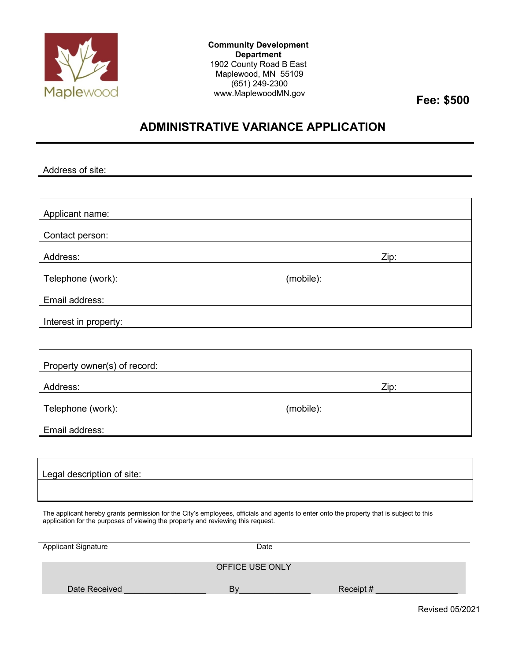

**Community Development Department** 1902 County Road B East Maplewood, MN 55109 (651) 249-2300 www.MaplewoodMN.gov **Fee: \$500**

## **ADMINISTRATIVE VARIANCE APPLICATION**

Address of site: Applicant name: Contact person: Address: Zip: Telephone (work): (mobile): Email address: Interest in property: Property owner(s) of record: Address: Zip: Telephone (work): (mobile): Email address: Legal description of site:

The applicant hereby grants permission for the City's employees, officials and agents to enter onto the property that is subject to this application for the purposes of viewing the property and reviewing this request.

| <b>Applicant Signature</b> | Date            |           |
|----------------------------|-----------------|-----------|
|                            | OFFICE USE ONLY |           |
| Date Received              | B١              | Receipt # |

Revised 05/2021